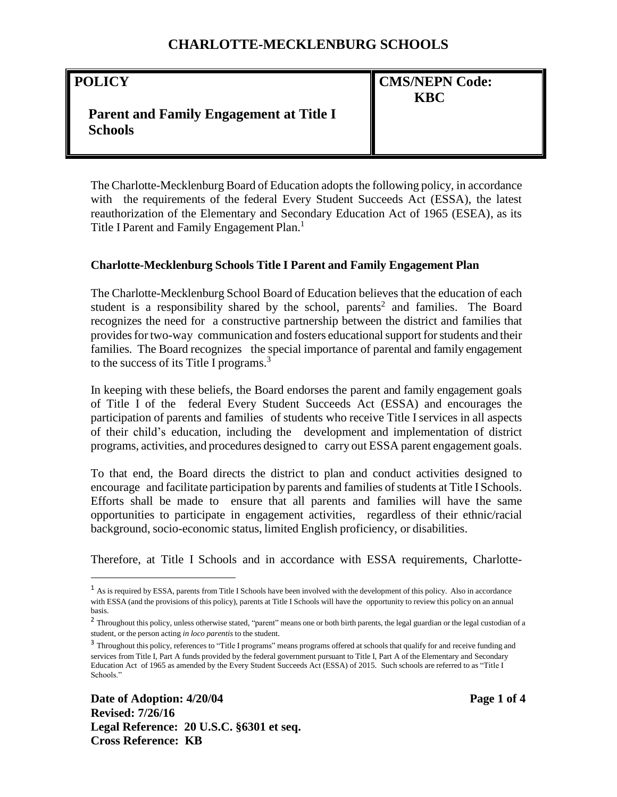#### **POLICY**

 $\overline{a}$ 

**CMS/NEPN Code: KBC**

# **Parent and Family Engagement at Title I Schools**

The Charlotte-Mecklenburg Board of Education adopts the following policy, in accordance with the requirements of the federal Every Student Succeeds Act (ESSA), the latest reauthorization of the Elementary and Secondary Education Act of 1965 (ESEA), as its Title I Parent and Family Engagement Plan.<sup>1</sup>

#### **Charlotte-Mecklenburg Schools Title I Parent and Family Engagement Plan**

The Charlotte-Mecklenburg School Board of Education believes that the education of each student is a responsibility shared by the school, parents<sup>2</sup> and families. The Board recognizes the need for a constructive partnership between the district and families that provides for two-way communication and fosters educational support for students and their families. The Board recognizes the special importance of parental and family engagement to the success of its Title I programs.<sup>3</sup>

In keeping with these beliefs, the Board endorses the parent and family engagement goals of Title I of the federal Every Student Succeeds Act (ESSA) and encourages the participation of parents and families of students who receive Title Iservices in all aspects of their child's education, including the development and implementation of district programs, activities, and procedures designed to carry out ESSA parent engagement goals.

To that end, the Board directs the district to plan and conduct activities designed to encourage and facilitate participation by parents and families of students at Title I Schools. Efforts shall be made to ensure that all parents and families will have the same opportunities to participate in engagement activities, regardless of their ethnic/racial background, socio-economic status, limited English proficiency, or disabilities.

Therefore, at Title I Schools and in accordance with ESSA requirements, Charlotte-

<sup>&</sup>lt;sup>1</sup> As is required by ESSA, parents from Title I Schools have been involved with the development of this policy. Also in accordance with ESSA (and the provisions of this policy), parents at Title I Schools will have the opportunity to review this policy on an annual basis.

<sup>&</sup>lt;sup>2</sup> Throughout this policy, unless otherwise stated, "parent" means one or both birth parents, the legal guardian or the legal custodian of a student, or the person acting *in loco parentis* to the student.

<sup>&</sup>lt;sup>3</sup> Throughout this policy, references to "Title I programs" means programs offered at schools that qualify for and receive funding and services from Title I, Part A funds provided by the federal government pursuant to Title I, Part A of the Elementary and Secondary Education Act of 1965 as amended by the Every Student Succeeds Act (ESSA) of 2015. Such schools are referred to as "Title I Schools."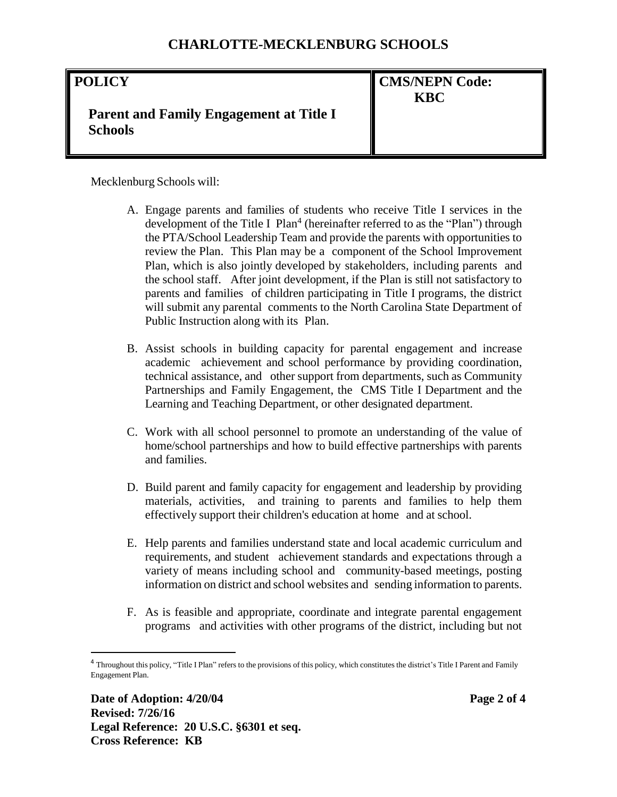# **POLICY Parent and Family Engagement at Title I Schools CMS/NEPN Code: KBC**

Mecklenburg Schools will:

- A. Engage parents and families of students who receive Title I services in the development of the Title I  $Plan<sup>4</sup>$  (hereinafter referred to as the "Plan") through the PTA/School Leadership Team and provide the parents with opportunities to review the Plan. This Plan may be a component of the School Improvement Plan, which is also jointly developed by stakeholders, including parents and the school staff. After joint development, if the Plan is still not satisfactory to parents and families of children participating in Title I programs, the district will submit any parental comments to the North Carolina State Department of Public Instruction along with its Plan.
- B. Assist schools in building capacity for parental engagement and increase academic achievement and school performance by providing coordination, technical assistance, and other support from departments, such as Community Partnerships and Family Engagement, the CMS Title I Department and the Learning and Teaching Department, or other designated department.
- C. Work with all school personnel to promote an understanding of the value of home/school partnerships and how to build effective partnerships with parents and families.
- D. Build parent and family capacity for engagement and leadership by providing materials, activities, and training to parents and families to help them effectively support their children's education at home and at school.
- E. Help parents and families understand state and local academic curriculum and requirements, and student achievement standards and expectations through a variety of means including school and community-based meetings, posting information on district and school websites and sending information to parents.
- F. As is feasible and appropriate, coordinate and integrate parental engagement programs and activities with other programs of the district, including but not

 $\overline{\phantom{a}}$ 

<sup>&</sup>lt;sup>4</sup> Throughout this policy, "Title I Plan" refers to the provisions of this policy, which constitutes the district's Title I Parent and Family Engagement Plan.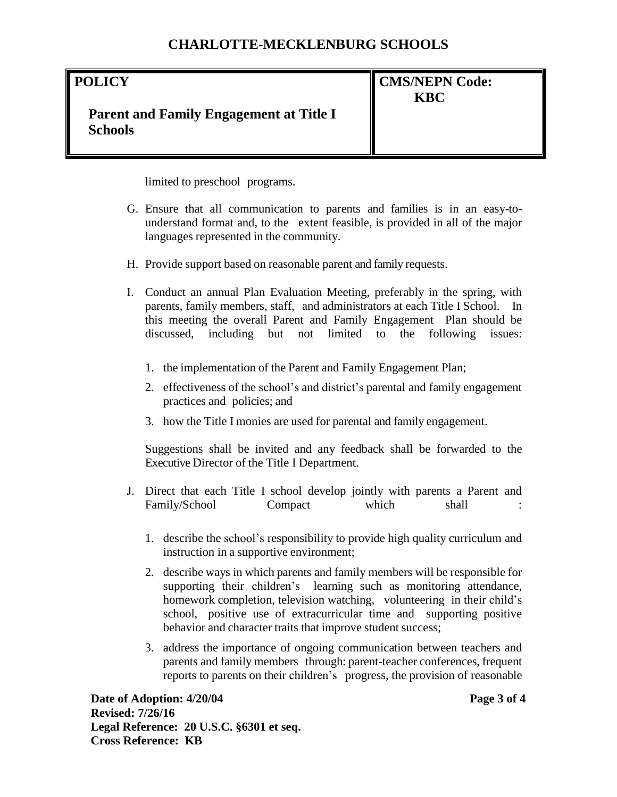## **POLICY**

# **CMS/NEPN Code: KBC**

# **Parent and Family Engagement at Title I Schools**

limited to preschool programs.

- G. Ensure that all communication to parents and families is in an easy-tounderstand format and, to the extent feasible, is provided in all of the major languages represented in the community.
- H. Provide support based on reasonable parent and family requests.
- I. Conduct an annual Plan Evaluation Meeting, preferably in the spring, with parents, family members, staff, and administrators at each Title I School. In this meeting the overall Parent and Family Engagement Plan should be discussed, including but not limited to the following issues:
	- 1. the implementation of the Parent and Family Engagement Plan;
	- 2. effectiveness of the school's and district's parental and family engagement practices and policies; and
	- 3. how the Title I monies are used for parental and family engagement.

Suggestions shall be invited and any feedback shall be forwarded to the Executive Director of the Title I Department.

- J. Direct that each Title I school develop jointly with parents a Parent and Family/School Compact which shall
	- 1. describe the school's responsibility to provide high quality curriculum and instruction in a supportive environment;
	- 2. describe ways in which parents and family members will be responsible for supporting their children's learning such as monitoring attendance, homework completion, television watching, volunteering in their child's school, positive use of extracurricular time and supporting positive behavior and character traits that improve student success;
	- 3. address the importance of ongoing communication between teachers and parents and family members through: parent-teacher conferences, frequent reports to parents on their children's progress, the provision of reasonable